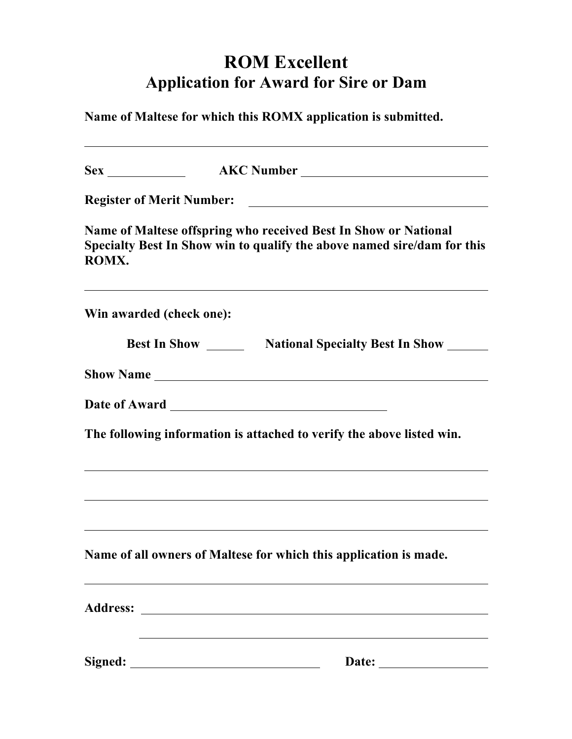## **ROM Excellent Application for Award for Sire or Dam**

**Name of Maltese for which this ROMX application is submitted.**

|                                                                                                                                                     |  | Sex AKC Number                                                        |
|-----------------------------------------------------------------------------------------------------------------------------------------------------|--|-----------------------------------------------------------------------|
| <b>Register of Merit Number:</b>                                                                                                                    |  |                                                                       |
| Name of Maltese offspring who received Best In Show or National<br>Specialty Best In Show win to qualify the above named sire/dam for this<br>ROMX. |  |                                                                       |
| Win awarded (check one):                                                                                                                            |  |                                                                       |
|                                                                                                                                                     |  | <b>Best In Show Mational Specialty Best In Show</b>                   |
| <b>Show Name</b>                                                                                                                                    |  |                                                                       |
|                                                                                                                                                     |  | Date of Award <b>Exercise 2018</b>                                    |
|                                                                                                                                                     |  | The following information is attached to verify the above listed win. |
|                                                                                                                                                     |  |                                                                       |
|                                                                                                                                                     |  | Name of all owners of Maltese for which this application is made.     |
| <b>Address:</b>                                                                                                                                     |  |                                                                       |
| Signed:                                                                                                                                             |  | Date:                                                                 |